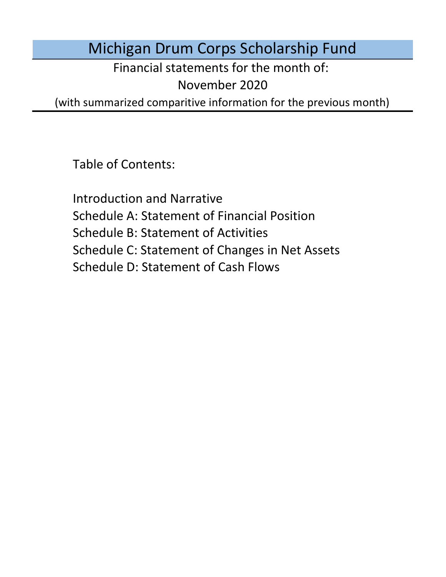Michigan Drum Corps Scholarship Fund

Financial statements for the month of:

November 2020

(with summarized comparitive information for the previous month)

Table of Contents:

Schedule D: Statement of Cash Flows Introduction and Narrative Schedule A: Statement of Financial Position Schedule B: Statement of Activities Schedule C: Statement of Changes in Net Assets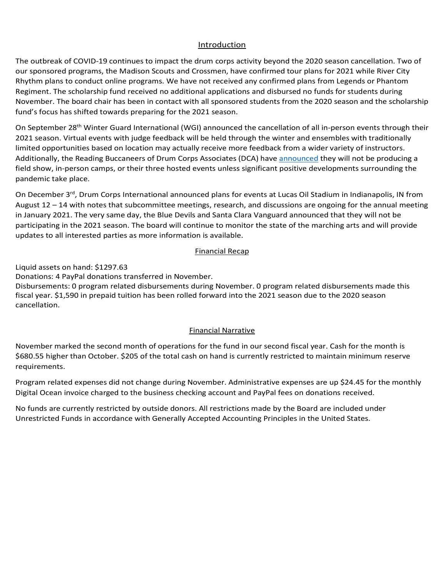## Introduction Introduction Introduction

Introduction<br>The outbreak of COVID-19 continues to impact the drum corps activity beyond the 2020 season cancellation. Two of our sponsored programs, the Madison Scouts and Crossmen, have confirmed tour plans for 2021 while River City Rhythm plans to conduct online programs. We have not received any confirmed plans from Legends or Phantom Rhythm plans to conduct online programs. We have not received any confirmed plans from Legends or Phantom<br>Regiment. The scholarship fund received no additional applications and disbursed no funds for students during<br>-----fund's focus has shifted towards preparing for the 2021 season. our sponsored programs, the Madison Scouts and Crossmen, have confirmed tour plans for 2021 while River City<br>Rhythm plans to conduct online programs. We have not received any confirmed plans from Legends or Phantom<br>Regimen November. The board chair has been in contact with all sponsored students from the 2020 season and the scholarship<br>fund's focus has shifted towards preparing for the 2021 season.

On September 28<sup>th</sup> Winter Guard International (WGI) announced the cancellation of all in-person events through their<br>2021 season. Virtual events with judge feedback will be held through the winter and ensembles with tradi 2021 season. Virtual events with judge feedback will be held through the winter and ensembles with traditionally limited opportunities based on location may actually receive more feedback from a wider variety of instructors. Financial Narrative Basic September 1988 Additionally, the Reading Buccaneers of Drum Corps Associates (DCA) have announced they will not be producing a Additionally, the Reading Buccaneers of Drum Corps Associates (DCA) have **announced** they will not be producing a<br>field show, in-person camps, or their three hosted events unless significant positive developments surroundi particular case basis and will be in contact with the board as more specific information in  $\alpha$ d programs, the Madison Scouts and Crossmen, have confirmed tour plans for 2021 while River City<br>et o conduct online programs. We have not received any confirmed plans from Legends or Phantom<br>is choosen shown that the 2020 paraditional discrete between active been actively working to the board website in provements, branding towards website in the branding towards website in the branding towards website in the branding of the branding of the pondering the 2022. Until a vaccine is developed, he believes all audition and reflection and rehearsal camps will be a vaccine in the believe supplier of the believes all audition and rehearsal camps will be a vaccine wil the 2021 season. Until a vaccine is developed, he believes all audition and relation and rehearsal camps will be a<br>particular camps will be all audition and rehearsal camps will be all audition and reflection and reduced b pandemic take place.

pandemic take place.<br>On December 3<sup>rd</sup>, Drum Corps International announced plans for events at Lucas Oil Stadium in Indianapolis, IN from<br>August 12 – 14 with notes that subcommittee meetings, research, and discussions are August 12 – 14 with notes that subcommittee meetings, research, and discussions are ongoing for the annual meeting in January 2021. The very same day, the Blue Devils and Santa Clara Vanguard announced that they will not be updates to all interested parties as more information is available. monthly Digital Ocean invoice charged to the business checking account. Program expenses are expected expenses are up the monthly Digital Ocean invoice charged to the monthly Digital Ocean invoice charged to the business checking account. The business checking account of the business checking account. The business checking participating in the 2021 season. The board will continue to monitor the state of the marching arts and will provide<br>updates to all interested parties as more information is available. pandemic take piace.<br>On December 3<sup>rd</sup>, Drum Corps International announced plans for events at Lucas Oil Stadium in Indianapolis, IN from

## to increase increase increase in Financial Recap increase in the three applications received applications received  $\alpha$ Program experimental to increase increase in future months proportional to increase in future months proportions received. The contract of the contract of the contract of the contract of the contract of the contract of the relative increases increased  $\overline{\text{Financial Recap}}$ Monthly Financial Recap Monthly Financial Recap Donations: 2 donations received during August. Financial Recap following the annual meeting of voting drum corps drum corps directors in January 2021. The board will continue to monitor the board will continue to monitor the board will continue to monitor the board will continue to mo

Liquid assets on hand: \$1297.63  $\,$ Disbursements: 0 program related disbursements during August.  $\mathbf{S}$  are marching article provide updates to all interested parties as more information is available.

Liquid assets on hand: \$1297.63<br>Donations: 4 PayPal donations transferred in November.

Liquid assets on nand: 51257.05<br>Donations: 4 PayPal donations transferred in November.<br>Disbursements: 0 program related disbursements during November. 0 program related disbursements made this Fiscal year. \$1,590 in prepaid tuition has been rolled forward into the 2021 season due to the 2020 season No funds are currently restricted by outside donors. All restrictions made by the Board are included under under under the Board are included under the Board are included under the Board are included under the Board are in reserve requirements.  $\mathsf{c}$ ancellation. The Board Chair noted that the financial statements was running from the financial statements was running from the financial statements was running from the financial statements was running from the f Donations: 0 donations received during October. 4 PayPal donations transferred in November.

## the 2021 season. Administrative expenses are up  $\frac{1}{2}$  for the monthly Digital Ocean invoice charged to  $\frac{1}{2}$  for the monthly Digital Ocean involvement of  $\frac{1}{2}$  for the monthly Digital Ocean involvement of  $\frac{1$  $1.00$  Financial Marrative  $F$ inancial Narrative  $F$ inancial Narrative  $F$ inancial Narrative. Financial Narrative

November marked the second month of operations for the fund in our second fiscal year. Cash for the month is November marked the second month of operations for the fund in our second fiscal year. Cash for the month is<br>\$680.55 higher than October. \$205 of the total cash on hand is currently restricted to maintain minimum reserve<br>r requirements. Einancial Narrative<br>
poperations for the fund in our second fiscal year. Cash for the month is<br>
e total cash on hand is currently restricted to maintain minimum reserve<br>
e during November. Administrative expenses are up \$2 monthly Digital Ocean involves charged to the business checking account. With the cancellation of the 2020 state  $\alpha$ month is 18.000 lower than June. \$200 lower than June. \$205 of the total cash on hand is currently restricted to Program requirements. lower June. of the total cash hand is currently restricted to maintain  $m$  is 92.25 higher than  $J$ uly.  $\sim$  1005 of the total cash on hand is currently restricted to maintain  $\sim$  1005 of the total cash on  $\sim$  1005 of the total cash on  $\sim$  1005 of the total cash on  $\sim$  1005 of the total pooliss marked their october plass of the total cash on hand is can entry restricted to maintain minimum reserve<br>requirements than September. 205 of the total cash on hand is currently restricted to maintain minimum reserve reserve re \$680.55 higher than October. \$205 of the total cash on hand is currently restricted to maintain minimum reserve

.<br>Program related expenses did not change during November. Administrative expenses are up \$24.45 for the monthly Digital Ocean invoice charged to the business checking account and PayPal fees on donations received. 2. Bit sees are experience to the submess cheming account and y appear to on achations received. and the annual domain name respective the capacities are dependent of the monthly Digital Ocean invoice charged to the business checking account and PayPal fees on donations received. Digital obean invoice charged to the business checking account and risp. Digital Ocean invoice charged to the business checking account and PayPal fees on donations received.

No funds are currently restricted by outside donors. All restrictions made by the Board are included under no rando are can entry resulted by causing abhorem resultations made by the board are meladed and critical pro<br>Unrestricted Funds in accordance with Generally Accepted Accounting Principles in the United States. No funds are currently restricted by outside donors. All restrictions made by the Board are included under  $\alpha$ are restricted by made by the Board are included under Unrestricted Funds in accordance with Generally Accepted Accounting Principles in the United States. Unrestricted Funds in accordance with Generally Accepted Accounting Principles in the United States.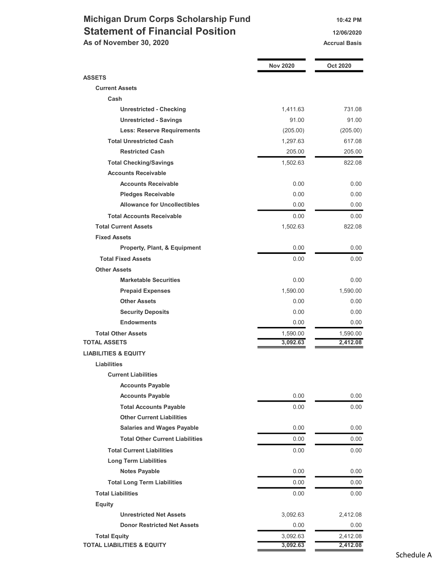# Michigan Drum Corps Scholarship Fund 10:42 PM Statement of Financial Position 12/06/2020

As of November 30, 2020 Accrual Basis

|                                        | <b>Nov 2020</b> | Oct 2020 |
|----------------------------------------|-----------------|----------|
| <b>ASSETS</b>                          |                 |          |
| <b>Current Assets</b>                  |                 |          |
| Cash                                   |                 |          |
| <b>Unrestricted - Checking</b>         | 1,411.63        | 731.08   |
| <b>Unrestricted - Savings</b>          | 91.00           | 91.00    |
| <b>Less: Reserve Requirements</b>      | (205.00)        | (205.00) |
| <b>Total Unrestricted Cash</b>         | 1,297.63        | 617.08   |
| <b>Restricted Cash</b>                 | 205.00          | 205.00   |
| <b>Total Checking/Savings</b>          | 1,502.63        | 822.08   |
| <b>Accounts Receivable</b>             |                 |          |
| <b>Accounts Receivable</b>             | 0.00            | 0.00     |
| <b>Pledges Receivable</b>              | 0.00            | 0.00     |
| <b>Allowance for Uncollectibles</b>    | 0.00            | 0.00     |
| <b>Total Accounts Receivable</b>       | 0.00            | 0.00     |
| <b>Total Current Assets</b>            | 1,502.63        | 822.08   |
| <b>Fixed Assets</b>                    |                 |          |
| Property, Plant, & Equipment           | 0.00            | 0.00     |
| <b>Total Fixed Assets</b>              | 0.00            | 0.00     |
| <b>Other Assets</b>                    |                 |          |
| <b>Marketable Securities</b>           | 0.00            | 0.00     |
| <b>Prepaid Expenses</b>                | 1,590.00        | 1,590.00 |
| <b>Other Assets</b>                    | 0.00            | 0.00     |
| <b>Security Deposits</b>               | 0.00            | 0.00     |
| <b>Endowments</b>                      | 0.00            | 0.00     |
| <b>Total Other Assets</b>              | 1,590.00        | 1,590.00 |
| <b>TOTAL ASSETS</b>                    | 3,092.63        | 2,412.08 |
| <b>LIABILITIES &amp; EQUITY</b>        |                 |          |
| <b>Liabilities</b>                     |                 |          |
| <b>Current Liabilities</b>             |                 |          |
| <b>Accounts Payable</b>                |                 |          |
| <b>Accounts Payable</b>                | 0.00            | 0.00     |
| <b>Total Accounts Payable</b>          | 0.00            | 0.00     |
| <b>Other Current Liabilities</b>       |                 |          |
| <b>Salaries and Wages Payable</b>      | 0.00            | 0.00     |
| <b>Total Other Current Liabilities</b> | 0.00            | 0.00     |
| <b>Total Current Liabilities</b>       | 0.00            | 0.00     |
| <b>Long Term Liabilities</b>           |                 |          |
| <b>Notes Payable</b>                   | 0.00            | 0.00     |
| <b>Total Long Term Liabilities</b>     | 0.00            | 0.00     |
| <b>Total Liabilities</b>               | 0.00            | 0.00     |
| <b>Equity</b>                          |                 |          |
| <b>Unrestricted Net Assets</b>         | 3,092.63        | 2,412.08 |
| <b>Donor Restricted Net Assets</b>     | 0.00            | 0.00     |
| <b>Total Equity</b>                    | 3,092.63        | 2,412.08 |
| <b>TOTAL LIABILITIES &amp; EQUITY</b>  | 3,092.63        | 2,412.08 |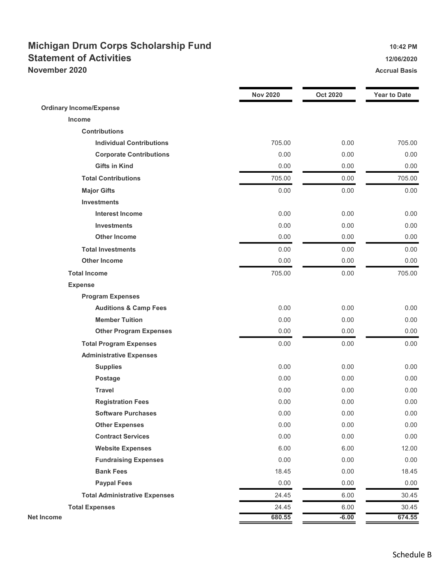## Michigan Drum Corps Scholarship Fund 10:42 PM Statement of Activities 12/06/2020 November 2020 **Accrual Basis** Accrual Basis Accrual Basis

|                                      | <b>Nov 2020</b> | <b>Oct 2020</b> | <b>Year to Date</b> |
|--------------------------------------|-----------------|-----------------|---------------------|
| <b>Ordinary Income/Expense</b>       |                 |                 |                     |
| Income                               |                 |                 |                     |
| <b>Contributions</b>                 |                 |                 |                     |
| <b>Individual Contributions</b>      | 705.00          | 0.00            | 705.00              |
| <b>Corporate Contributions</b>       | 0.00            | 0.00            | 0.00                |
| <b>Gifts in Kind</b>                 | 0.00            | 0.00            | 0.00                |
| <b>Total Contributions</b>           | 705.00          | 0.00            | 705.00              |
| <b>Major Gifts</b>                   | 0.00            | 0.00            | 0.00                |
| <b>Investments</b>                   |                 |                 |                     |
| <b>Interest Income</b>               | 0.00            | 0.00            | 0.00                |
| <b>Investments</b>                   | 0.00            | 0.00            | 0.00                |
| <b>Other Income</b>                  | 0.00            | 0.00            | 0.00                |
| <b>Total Investments</b>             | 0.00            | 0.00            | 0.00                |
| <b>Other Income</b>                  | 0.00            | 0.00            | 0.00                |
| <b>Total Income</b>                  | 705.00          | 0.00            | 705.00              |
| <b>Expense</b>                       |                 |                 |                     |
| <b>Program Expenses</b>              |                 |                 |                     |
| <b>Auditions &amp; Camp Fees</b>     | 0.00            | 0.00            | 0.00                |
| <b>Member Tuition</b>                | 0.00            | 0.00            | 0.00                |
| <b>Other Program Expenses</b>        | 0.00            | 0.00            | 0.00                |
| <b>Total Program Expenses</b>        | 0.00            | 0.00            | 0.00                |
| <b>Administrative Expenses</b>       |                 |                 |                     |
| <b>Supplies</b>                      | 0.00            | 0.00            | 0.00                |
| Postage                              | 0.00            | 0.00            | 0.00                |
| <b>Travel</b>                        | 0.00            | 0.00            | 0.00                |
| <b>Registration Fees</b>             | 0.00            | 0.00            | 0.00                |
| <b>Software Purchases</b>            | 0.00            | 0.00            | 0.00                |
| <b>Other Expenses</b>                | 0.00            | 0.00            | 0.00                |
| <b>Contract Services</b>             | 0.00            | 0.00            | 0.00                |
| <b>Website Expenses</b>              | 6.00            | 6.00            | 12.00               |
| <b>Fundraising Expenses</b>          | 0.00            | 0.00            | 0.00                |
| <b>Bank Fees</b>                     | 18.45           | 0.00            | 18.45               |
| <b>Paypal Fees</b>                   | 0.00            | 0.00            | 0.00                |
| <b>Total Administrative Expenses</b> | 24.45           | 6.00            | 30.45               |
| <b>Total Expenses</b>                | 24.45           | 6.00            | 30.45               |
| <b>Net Income</b>                    | 680.55          | $-6.00$         | 674.55              |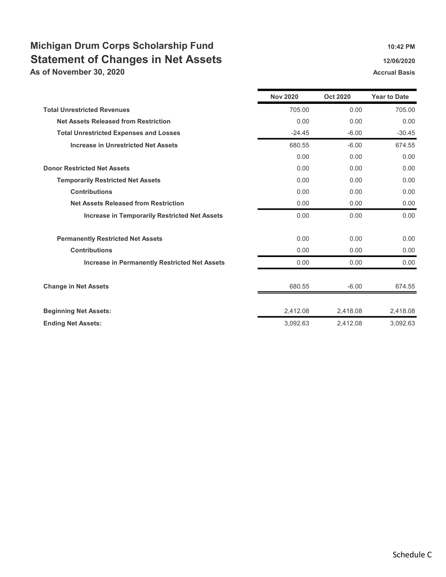# Michigan Drum Corps Scholarship Fund 10:42 PM Statement of Changes in Net Assets 12/06/2020 12/06/2020

As of November 30, 2020 Accrual Basis Accrual Basis

|                                                      | <b>Nov 2020</b> | <b>Oct 2020</b> | <b>Year to Date</b> |
|------------------------------------------------------|-----------------|-----------------|---------------------|
| <b>Total Unrestricted Revenues</b>                   | 705.00          | 0.00            | 705.00              |
| <b>Net Assets Released from Restriction</b>          | 0.00            | 0.00            | 0.00                |
| <b>Total Unrestricted Expenses and Losses</b>        | $-24.45$        | $-6.00$         | $-30.45$            |
| <b>Increase in Unrestricted Net Assets</b>           | 680.55          | $-6.00$         | 674.55              |
|                                                      | 0.00            | 0.00            | 0.00                |
| <b>Donor Restricted Net Assets</b>                   | 0.00            | 0.00            | 0.00                |
| <b>Temporarily Restricted Net Assets</b>             | 0.00            | 0.00            | 0.00                |
| <b>Contributions</b>                                 | 0.00            | 0.00            | 0.00                |
| <b>Net Assets Released from Restriction</b>          | 0.00            | 0.00            | 0.00                |
| <b>Increase in Temporarily Restricted Net Assets</b> | 0.00            | 0.00            | 0.00                |
| <b>Permanently Restricted Net Assets</b>             | 0.00            | 0.00            | 0.00                |
| <b>Contributions</b>                                 | 0.00            | 0.00            | 0.00                |
| <b>Increase in Permanently Restricted Net Assets</b> | 0.00            | 0.00            | 0.00                |
| <b>Change in Net Assets</b>                          | 680.55          | $-6.00$         | 674.55              |
| <b>Beginning Net Assets:</b>                         | 2,412.08        | 2,418.08        | 2,418.08            |
| <b>Ending Net Assets:</b>                            | 3,092.63        | 2,412.08        | 3,092.63            |